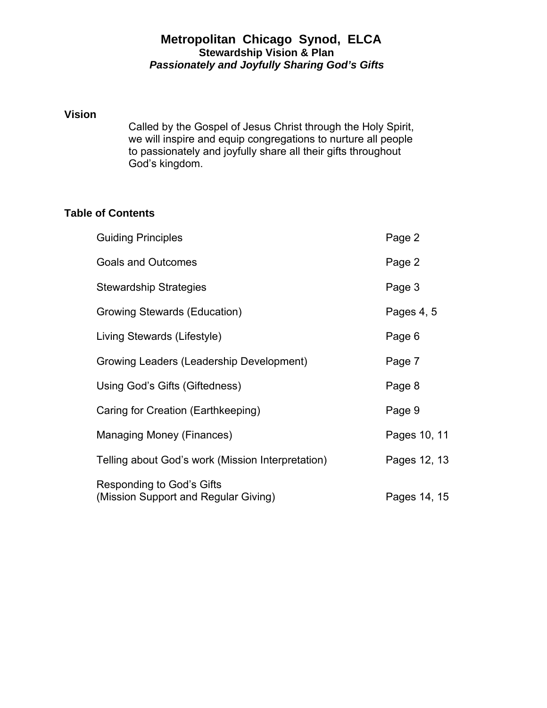# **Metropolitan Chicago Synod, ELCA Stewardship Vision & Plan** *Passionately and Joyfully Sharing God's Gifts*

#### **Vision**

 Called by the Gospel of Jesus Christ through the Holy Spirit, we will inspire and equip congregations to nurture all people to passionately and joyfully share all their gifts throughout God's kingdom.

# **Table of Contents**

| <b>Guiding Principles</b>                                         | Page 2       |
|-------------------------------------------------------------------|--------------|
| <b>Goals and Outcomes</b>                                         | Page 2       |
| <b>Stewardship Strategies</b>                                     | Page 3       |
| Growing Stewards (Education)                                      | Pages 4, 5   |
| Living Stewards (Lifestyle)                                       | Page 6       |
| Growing Leaders (Leadership Development)                          | Page 7       |
| Using God's Gifts (Giftedness)                                    | Page 8       |
| Caring for Creation (Earthkeeping)                                | Page 9       |
| Managing Money (Finances)                                         | Pages 10, 11 |
| Telling about God's work (Mission Interpretation)                 | Pages 12, 13 |
| Responding to God's Gifts<br>(Mission Support and Regular Giving) | Pages 14, 15 |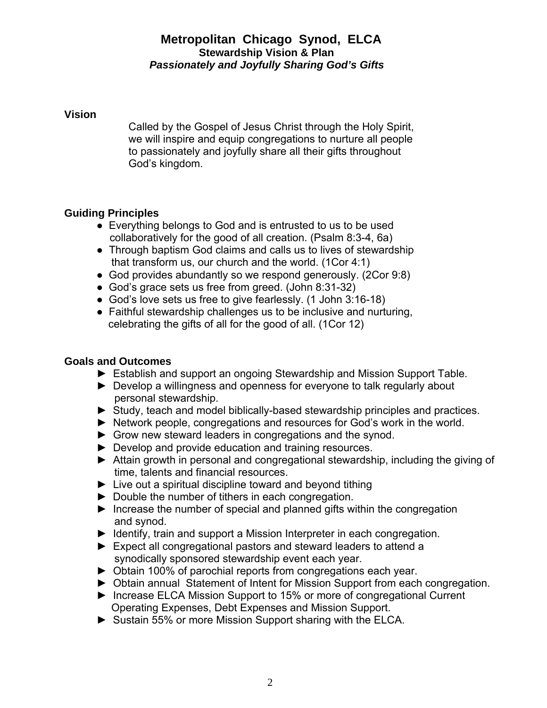# **Metropolitan Chicago Synod, ELCA Stewardship Vision & Plan** *Passionately and Joyfully Sharing God's Gifts*

### **Vision**

 Called by the Gospel of Jesus Christ through the Holy Spirit, we will inspire and equip congregations to nurture all people to passionately and joyfully share all their gifts throughout God's kingdom.

# **Guiding Principles**

- Everything belongs to God and is entrusted to us to be used collaboratively for the good of all creation. (Psalm 8:3-4, 6a)
- Through baptism God claims and calls us to lives of stewardship that transform us, our church and the world. (1Cor 4:1)
- God provides abundantly so we respond generously. (2Cor 9:8)
- God's grace sets us free from greed. (John 8:31-32)
- God's love sets us free to give fearlessly. (1 John 3:16-18)
- Faithful stewardship challenges us to be inclusive and nurturing, celebrating the gifts of all for the good of all. (1Cor 12)

# **Goals and Outcomes**

- ► Establish and support an ongoing Stewardship and Mission Support Table.
- ► Develop a willingness and openness for everyone to talk regularly about personal stewardship.
- ► Study, teach and model biblically-based stewardship principles and practices.
- ► Network people, congregations and resources for God's work in the world.
- ► Grow new steward leaders in congregations and the synod.
- ► Develop and provide education and training resources.
- ► Attain growth in personal and congregational stewardship, including the giving of time, talents and financial resources.
- $\blacktriangleright$  Live out a spiritual discipline toward and beyond tithing
- ► Double the number of tithers in each congregation.
- $\blacktriangleright$  Increase the number of special and planned gifts within the congregation and synod.
- ► Identify, train and support a Mission Interpreter in each congregation.
- ► Expect all congregational pastors and steward leaders to attend a synodically sponsored stewardship event each year.
- ► Obtain 100% of parochial reports from congregations each year.
- ► Obtain annual Statement of Intent for Mission Support from each congregation.
- ► Increase ELCA Mission Support to 15% or more of congregational Current Operating Expenses, Debt Expenses and Mission Support.
- ► Sustain 55% or more Mission Support sharing with the ELCA.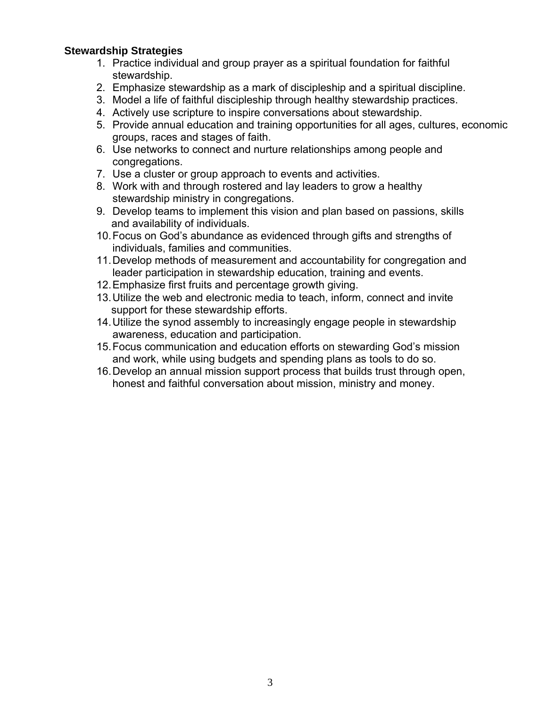### **Stewardship Strategies**

- 1. Practice individual and group prayer as a spiritual foundation for faithful stewardship.
- 2. Emphasize stewardship as a mark of discipleship and a spiritual discipline.
- 3. Model a life of faithful discipleship through healthy stewardship practices.
- 4. Actively use scripture to inspire conversations about stewardship.
- 5. Provide annual education and training opportunities for all ages, cultures, economic groups, races and stages of faith.
- 6. Use networks to connect and nurture relationships among people and congregations.
- 7. Use a cluster or group approach to events and activities.
- 8. Work with and through rostered and lay leaders to grow a healthy stewardship ministry in congregations.
- 9. Develop teams to implement this vision and plan based on passions, skills and availability of individuals.
- 10. Focus on God's abundance as evidenced through gifts and strengths of individuals, families and communities.
- 11. Develop methods of measurement and accountability for congregation and leader participation in stewardship education, training and events.
- 12. Emphasize first fruits and percentage growth giving.
- 13. Utilize the web and electronic media to teach, inform, connect and invite support for these stewardship efforts.
- 14. Utilize the synod assembly to increasingly engage people in stewardship awareness, education and participation.
- 15. Focus communication and education efforts on stewarding God's mission and work, while using budgets and spending plans as tools to do so.
- 16. Develop an annual mission support process that builds trust through open, honest and faithful conversation about mission, ministry and money.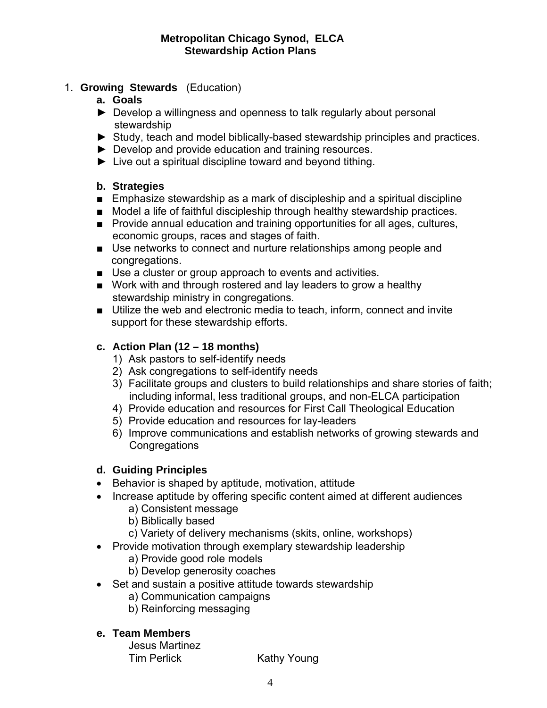- 1. **Growing Stewards** (Education)
	- **a. Goals**
	- ► Develop a willingness and openness to talk regularly about personal stewardship
	- ► Study, teach and model biblically-based stewardship principles and practices.
	- ► Develop and provide education and training resources.
	- ► Live out a spiritual discipline toward and beyond tithing.

### **b. Strategies**

- Emphasize stewardship as a mark of discipleship and a spiritual discipline
- Model a life of faithful discipleship through healthy stewardship practices.
- Provide annual education and training opportunities for all ages, cultures, economic groups, races and stages of faith.
- Use networks to connect and nurture relationships among people and congregations.
- Use a cluster or group approach to events and activities.
- Work with and through rostered and lay leaders to grow a healthy stewardship ministry in congregations.
- Utilize the web and electronic media to teach, inform, connect and invite support for these stewardship efforts.

# **c. Action Plan (12 – 18 months)**

- 1) Ask pastors to self-identify needs
- 2) Ask congregations to self-identify needs
- 3) Facilitate groups and clusters to build relationships and share stories of faith; including informal, less traditional groups, and non-ELCA participation
- 4) Provide education and resources for First Call Theological Education
- 5) Provide education and resources for lay-leaders
- 6) Improve communications and establish networks of growing stewards and **Congregations**

# **d. Guiding Principles**

- Behavior is shaped by aptitude, motivation, attitude
- Increase aptitude by offering specific content aimed at different audiences
	- a) Consistent message
	- b) Biblically based
	- c) Variety of delivery mechanisms (skits, online, workshops)
- Provide motivation through exemplary stewardship leadership
	- a) Provide good role models
	- b) Develop generosity coaches
- Set and sustain a positive attitude towards stewardship
	- a) Communication campaigns
	- b) Reinforcing messaging

### **e. Team Members**

Jesus Martinez Tim Perlick Kathy Young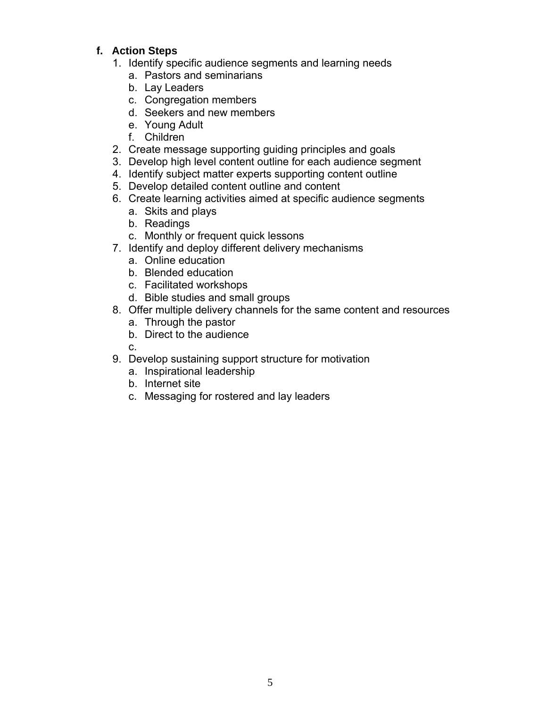- 1. Identify specific audience segments and learning needs
	- a. Pastors and seminarians
	- b. Lay Leaders
	- c. Congregation members
	- d. Seekers and new members
	- e. Young Adult
	- f. Children
- 2. Create message supporting guiding principles and goals
- 3. Develop high level content outline for each audience segment
- 4. Identify subject matter experts supporting content outline
- 5. Develop detailed content outline and content
- 6. Create learning activities aimed at specific audience segments
	- a. Skits and plays
	- b. Readings
	- c. Monthly or frequent quick lessons
- 7. Identify and deploy different delivery mechanisms
	- a. Online education
	- b. Blended education
	- c. Facilitated workshops
	- d. Bible studies and small groups
- 8. Offer multiple delivery channels for the same content and resources
	- a. Through the pastor
	- b. Direct to the audience
	- c.
- 9. Develop sustaining support structure for motivation
	- a. Inspirational leadership
	- b. Internet site
	- c. Messaging for rostered and lay leaders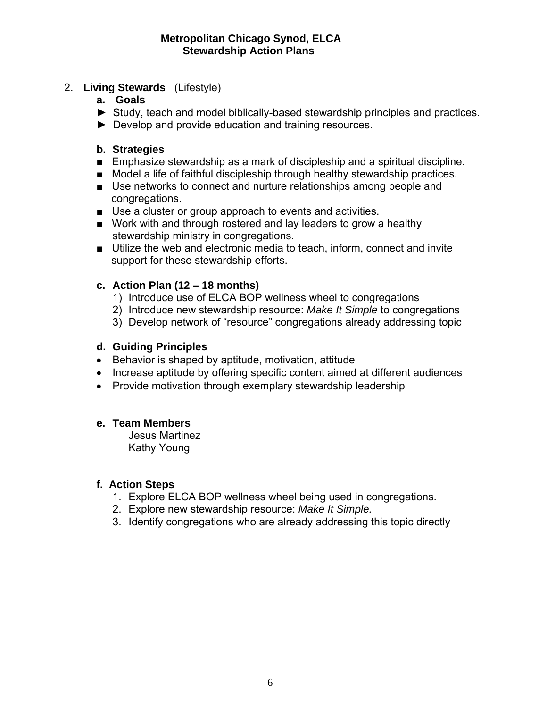### 2. **Living Stewards** (Lifestyle)

- **a. Goals**
- ► Study, teach and model biblically-based stewardship principles and practices.
- ► Develop and provide education and training resources.

### **b. Strategies**

- Emphasize stewardship as a mark of discipleship and a spiritual discipline.
- Model a life of faithful discipleship through healthy stewardship practices.
- Use networks to connect and nurture relationships among people and congregations.
- Use a cluster or group approach to events and activities.
- Work with and through rostered and lay leaders to grow a healthy stewardship ministry in congregations.
- Utilize the web and electronic media to teach, inform, connect and invite support for these stewardship efforts.

### **c. Action Plan (12 – 18 months)**

- 1) Introduce use of ELCA BOP wellness wheel to congregations
- 2) Introduce new stewardship resource: *Make It Simple* to congregations
- 3) Develop network of "resource" congregations already addressing topic

### **d. Guiding Principles**

- Behavior is shaped by aptitude, motivation, attitude
- Increase aptitude by offering specific content aimed at different audiences
- Provide motivation through exemplary stewardship leadership

# **e. Team Members**

Jesus Martinez Kathy Young

- 1. Explore ELCA BOP wellness wheel being used in congregations.
- 2. Explore new stewardship resource: *Make It Simple.*
- 3. Identify congregations who are already addressing this topic directly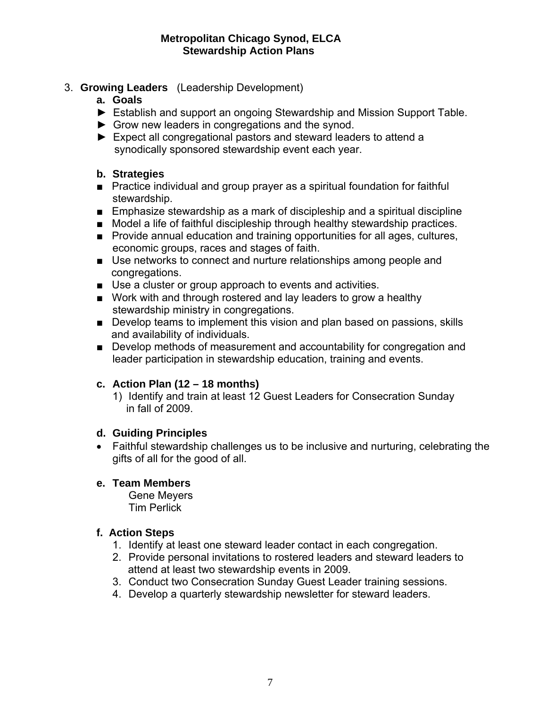- 3. **Growing Leaders** (Leadership Development)
	- **a. Goals**
	- ► Establish and support an ongoing Stewardship and Mission Support Table.
	- ► Grow new leaders in congregations and the synod.
	- ► Expect all congregational pastors and steward leaders to attend a synodically sponsored stewardship event each year.

### **b. Strategies**

- Practice individual and group prayer as a spiritual foundation for faithful stewardship.
- Emphasize stewardship as a mark of discipleship and a spiritual discipline
- Model a life of faithful discipleship through healthy stewardship practices.
- Provide annual education and training opportunities for all ages, cultures, economic groups, races and stages of faith.
- Use networks to connect and nurture relationships among people and congregations.
- Use a cluster or group approach to events and activities.
- Work with and through rostered and lay leaders to grow a healthy stewardship ministry in congregations.
- Develop teams to implement this vision and plan based on passions, skills and availability of individuals.
- Develop methods of measurement and accountability for congregation and leader participation in stewardship education, training and events.

# **c. Action Plan (12 – 18 months)**

1) Identify and train at least 12 Guest Leaders for Consecration Sunday in fall of 2009.

### **d. Guiding Principles**

• Faithful stewardship challenges us to be inclusive and nurturing, celebrating the gifts of all for the good of all.

# **e. Team Members**

Gene Meyers Tim Perlick

- 1. Identify at least one steward leader contact in each congregation.
- 2. Provide personal invitations to rostered leaders and steward leaders to attend at least two stewardship events in 2009.
- 3. Conduct two Consecration Sunday Guest Leader training sessions.
- 4. Develop a quarterly stewardship newsletter for steward leaders.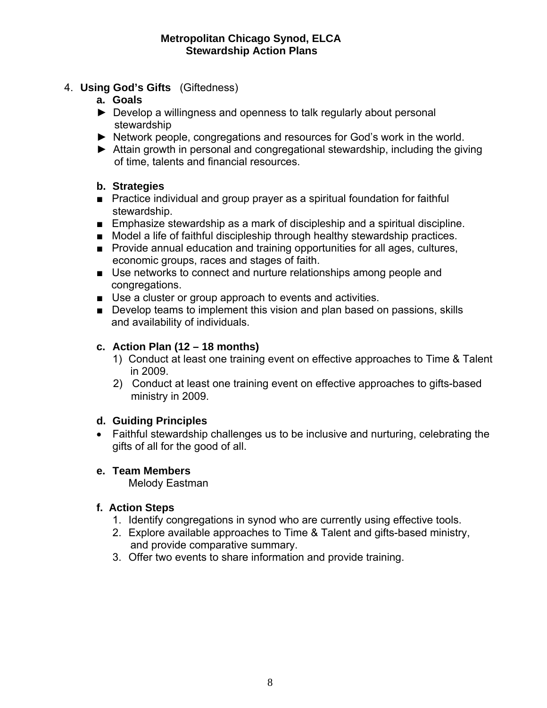- 4. **Using God's Gifts** (Giftedness)
	- **a. Goals**
	- ► Develop a willingness and openness to talk regularly about personal stewardship
	- ► Network people, congregations and resources for God's work in the world.
	- ► Attain growth in personal and congregational stewardship, including the giving of time, talents and financial resources.

### **b. Strategies**

- Practice individual and group prayer as a spiritual foundation for faithful stewardship.
- Emphasize stewardship as a mark of discipleship and a spiritual discipline.
- Model a life of faithful discipleship through healthy stewardship practices.
- Provide annual education and training opportunities for all ages, cultures, economic groups, races and stages of faith.
- Use networks to connect and nurture relationships among people and congregations.
- Use a cluster or group approach to events and activities.
- Develop teams to implement this vision and plan based on passions, skills and availability of individuals.

# **c. Action Plan (12 – 18 months)**

- 1) Conduct at least one training event on effective approaches to Time & Talent in 2009.
- 2) Conduct at least one training event on effective approaches to gifts-based ministry in 2009.

# **d. Guiding Principles**

• Faithful stewardship challenges us to be inclusive and nurturing, celebrating the gifts of all for the good of all.

# **e. Team Members**

Melody Eastman

- 1. Identify congregations in synod who are currently using effective tools.
- 2. Explore available approaches to Time & Talent and gifts-based ministry, and provide comparative summary.
- 3. Offer two events to share information and provide training.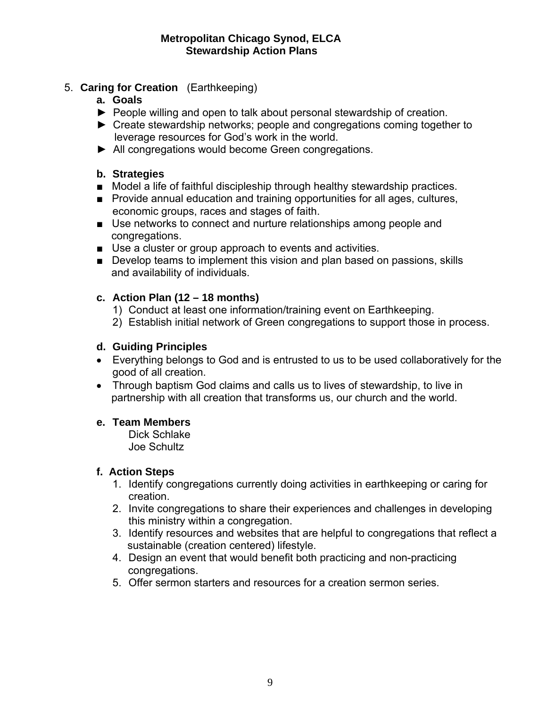# 5. **Caring for Creation** (Earthkeeping)

- **a. Goals**
- ► People willing and open to talk about personal stewardship of creation.
- ► Create stewardship networks; people and congregations coming together to leverage resources for God's work in the world.
- ► All congregations would become Green congregations.

# **b. Strategies**

- Model a life of faithful discipleship through healthy stewardship practices.
- Provide annual education and training opportunities for all ages, cultures, economic groups, races and stages of faith.
- Use networks to connect and nurture relationships among people and congregations.
- Use a cluster or group approach to events and activities.
- Develop teams to implement this vision and plan based on passions, skills and availability of individuals.

# **c. Action Plan (12 – 18 months)**

- 1) Conduct at least one information/training event on Earthkeeping.
- 2) Establish initial network of Green congregations to support those in process.

# **d. Guiding Principles**

- Everything belongs to God and is entrusted to us to be used collaboratively for the good of all creation.
- Through baptism God claims and calls us to lives of stewardship, to live in partnership with all creation that transforms us, our church and the world.

# **e. Team Members**

Dick Schlake Joe Schultz

- 1. Identify congregations currently doing activities in earthkeeping or caring for creation.
- 2. Invite congregations to share their experiences and challenges in developing this ministry within a congregation.
- 3. Identify resources and websites that are helpful to congregations that reflect a sustainable (creation centered) lifestyle.
- 4. Design an event that would benefit both practicing and non-practicing congregations.
- 5. Offer sermon starters and resources for a creation sermon series.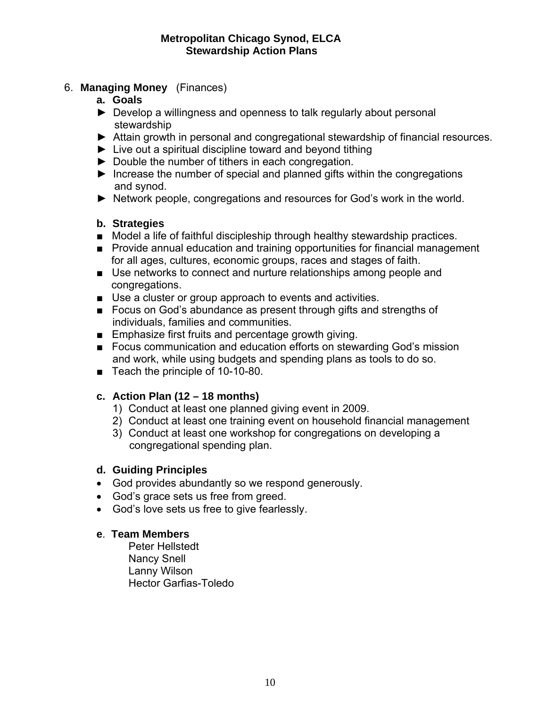- 6. **Managing Money** (Finances)
	- **a. Goals**
	- ► Develop a willingness and openness to talk regularly about personal stewardship
	- ► Attain growth in personal and congregational stewardship of financial resources.
	- ► Live out a spiritual discipline toward and beyond tithing
	- ► Double the number of tithers in each congregation.
	- ► Increase the number of special and planned gifts within the congregations and synod.
	- ► Network people, congregations and resources for God's work in the world.

### **b. Strategies**

- Model a life of faithful discipleship through healthy stewardship practices.
- Provide annual education and training opportunities for financial management for all ages, cultures, economic groups, races and stages of faith.
- Use networks to connect and nurture relationships among people and congregations.
- Use a cluster or group approach to events and activities.
- Focus on God's abundance as present through gifts and strengths of individuals, families and communities.
- Emphasize first fruits and percentage growth giving.
- Focus communication and education efforts on stewarding God's mission and work, while using budgets and spending plans as tools to do so.
- Teach the principle of 10-10-80.

# **c. Action Plan (12 – 18 months)**

- 1) Conduct at least one planned giving event in 2009.
- 2) Conduct at least one training event on household financial management
- 3) Conduct at least one workshop for congregations on developing a congregational spending plan.

### **d. Guiding Principles**

- God provides abundantly so we respond generously.
- God's grace sets us free from greed.
- God's love sets us free to give fearlessly.

### **e**. **Team Members**

Peter Hellstedt Nancy Snell Lanny Wilson Hector Garfias-Toledo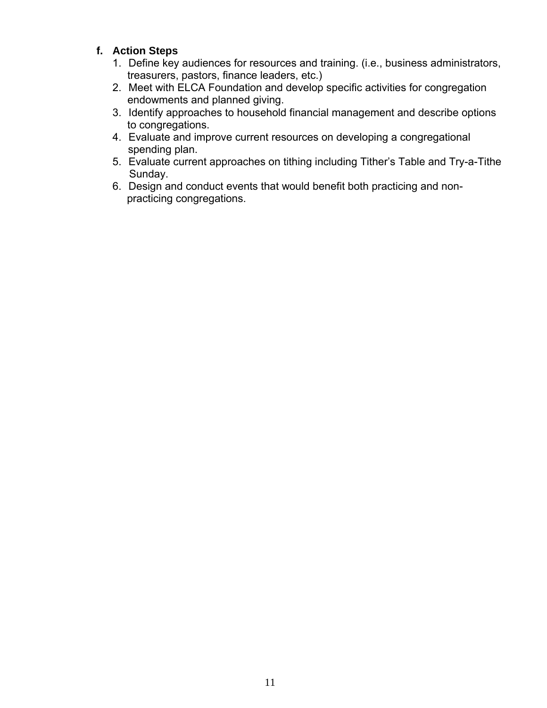- 1. Define key audiences for resources and training. (i.e., business administrators, treasurers, pastors, finance leaders, etc.)
- 2. Meet with ELCA Foundation and develop specific activities for congregation endowments and planned giving.
- 3. Identify approaches to household financial management and describe options to congregations.
- 4. Evaluate and improve current resources on developing a congregational spending plan.
- 5. Evaluate current approaches on tithing including Tither's Table and Try-a-Tithe Sunday.
- 6. Design and conduct events that would benefit both practicing and non practicing congregations.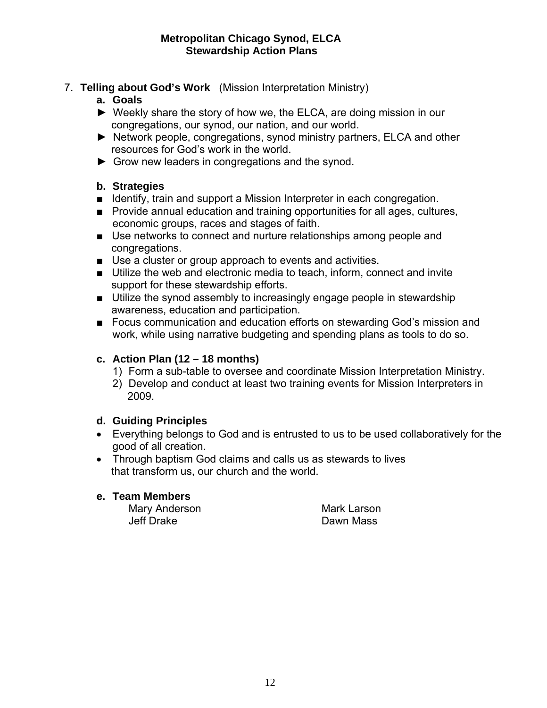- 7. **Telling about God's Work** (Mission Interpretation Ministry)
	- **a. Goals**
	- ► Weekly share the story of how we, the ELCA, are doing mission in our congregations, our synod, our nation, and our world.
	- ► Network people, congregations, synod ministry partners, ELCA and other resources for God's work in the world.
	- ► Grow new leaders in congregations and the synod.

### **b. Strategies**

- Identify, train and support a Mission Interpreter in each congregation.
- Provide annual education and training opportunities for all ages, cultures, economic groups, races and stages of faith.
- Use networks to connect and nurture relationships among people and congregations.
- Use a cluster or group approach to events and activities.
- Utilize the web and electronic media to teach, inform, connect and invite support for these stewardship efforts.
- Utilize the synod assembly to increasingly engage people in stewardship awareness, education and participation.
- Focus communication and education efforts on stewarding God's mission and work, while using narrative budgeting and spending plans as tools to do so.

# **c. Action Plan (12 – 18 months)**

- 1) Form a sub-table to oversee and coordinate Mission Interpretation Ministry.
- 2) Develop and conduct at least two training events for Mission Interpreters in 2009.

# **d. Guiding Principles**

- Everything belongs to God and is entrusted to us to be used collaboratively for the good of all creation.
- Through baptism God claims and calls us as stewards to lives that transform us, our church and the world.

### **e. Team Members**

Mary Anderson Mark Larson Jeff Drake Dawn Mass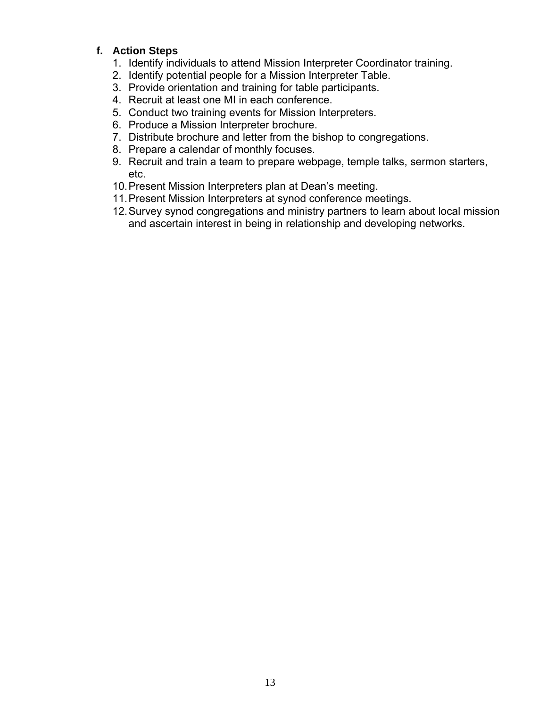- 1. Identify individuals to attend Mission Interpreter Coordinator training.
- 2. Identify potential people for a Mission Interpreter Table.
- 3. Provide orientation and training for table participants.
- 4. Recruit at least one MI in each conference.
- 5. Conduct two training events for Mission Interpreters.
- 6. Produce a Mission Interpreter brochure.
- 7. Distribute brochure and letter from the bishop to congregations.
- 8. Prepare a calendar of monthly focuses.
- 9. Recruit and train a team to prepare webpage, temple talks, sermon starters, etc.
- 10. Present Mission Interpreters plan at Dean's meeting.
- 11. Present Mission Interpreters at synod conference meetings.
- 12. Survey synod congregations and ministry partners to learn about local mission and ascertain interest in being in relationship and developing networks.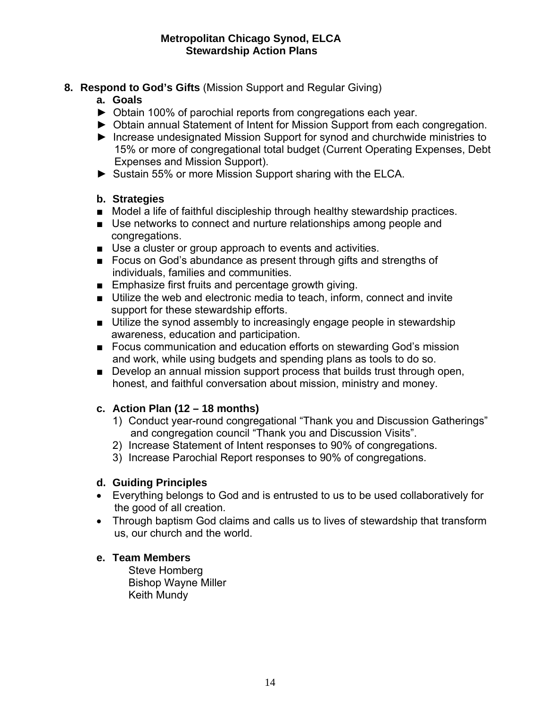- **8. Respond to God's Gifts** (Mission Support and Regular Giving)
	- **a. Goals**
	- ► Obtain 100% of parochial reports from congregations each year.
	- ► Obtain annual Statement of Intent for Mission Support from each congregation.
	- ► Increase undesignated Mission Support for synod and churchwide ministries to 15% or more of congregational total budget (Current Operating Expenses, Debt Expenses and Mission Support).
	- ► Sustain 55% or more Mission Support sharing with the ELCA.

### **b. Strategies**

- Model a life of faithful discipleship through healthy stewardship practices.
- Use networks to connect and nurture relationships among people and congregations.
- Use a cluster or group approach to events and activities.
- Focus on God's abundance as present through gifts and strengths of individuals, families and communities.
- Emphasize first fruits and percentage growth giving.
- Utilize the web and electronic media to teach, inform, connect and invite support for these stewardship efforts.
- Utilize the synod assembly to increasingly engage people in stewardship awareness, education and participation.
- Focus communication and education efforts on stewarding God's mission and work, while using budgets and spending plans as tools to do so.
- Develop an annual mission support process that builds trust through open, honest, and faithful conversation about mission, ministry and money.

# **c. Action Plan (12 – 18 months)**

- 1) Conduct year-round congregational "Thank you and Discussion Gatherings" and congregation council "Thank you and Discussion Visits".
- 2) Increase Statement of Intent responses to 90% of congregations.
- 3) Increase Parochial Report responses to 90% of congregations.

### **d. Guiding Principles**

- Everything belongs to God and is entrusted to us to be used collaboratively for the good of all creation.
- Through baptism God claims and calls us to lives of stewardship that transform us, our church and the world.

### **e. Team Members**

Steve Homberg Bishop Wayne Miller Keith Mundy